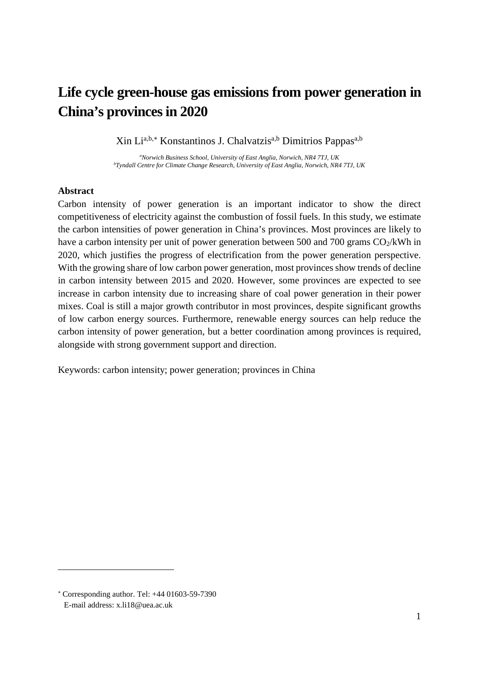# **Life cycle green-house gas emissions from power generation in China's provinces in 2020**

Xin Li<sup>a,b,[∗](#page-0-0)</sup> Konstantinos J. Chalvatzis<sup>a,b</sup> Dimitrios Pappas<sup>a,b</sup>

*a Norwich Business School, University of East Anglia, Norwich, NR4 7TJ, UK b Tyndall Centre for Climate Change Research, University of East Anglia, Norwich, NR4 7TJ, UK*

# **Abstract**

Carbon intensity of power generation is an important indicator to show the direct competitiveness of electricity against the combustion of fossil fuels. In this study, we estimate the carbon intensities of power generation in China's provinces. Most provinces are likely to have a carbon intensity per unit of power generation between 500 and 700 grams  $CO<sub>2</sub>/kWh$  in 2020, which justifies the progress of electrification from the power generation perspective. With the growing share of low carbon power generation, most provinces show trends of decline in carbon intensity between 2015 and 2020. However, some provinces are expected to see increase in carbon intensity due to increasing share of coal power generation in their power mixes. Coal is still a major growth contributor in most provinces, despite significant growths of low carbon energy sources. Furthermore, renewable energy sources can help reduce the carbon intensity of power generation, but a better coordination among provinces is required, alongside with strong government support and direction.

Keywords: carbon intensity; power generation; provinces in China

 $\overline{a}$ 

<span id="page-0-0"></span><sup>∗</sup> Corresponding author. Tel: +44 01603-59-7390 E-mail address: x.li18@uea.ac.uk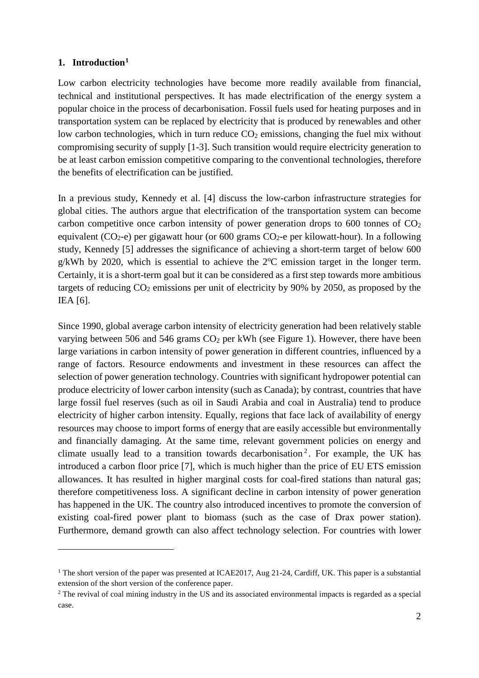# **1. Introduction[1](#page-1-0)**

 $\overline{a}$ 

Low carbon electricity technologies have become more readily available from financial, technical and institutional perspectives. It has made electrification of the energy system a popular choice in the process of decarbonisation. Fossil fuels used for heating purposes and in transportation system can be replaced by electricity that is produced by renewables and other low carbon technologies, which in turn reduce  $CO<sub>2</sub>$  emissions, changing the fuel mix without compromising security of supply [1-3]. Such transition would require electricity generation to be at least carbon emission competitive comparing to the conventional technologies, therefore the benefits of electrification can be justified.

In a previous study, Kennedy et al. [4] discuss the low-carbon infrastructure strategies for global cities. The authors argue that electrification of the transportation system can become carbon competitive once carbon intensity of power generation drops to  $600$  tonnes of  $CO<sub>2</sub>$ equivalent (CO<sub>2</sub>-e) per gigawatt hour (or 600 grams CO<sub>2</sub>-e per kilowatt-hour). In a following study, Kennedy [5] addresses the significance of achieving a short-term target of below 600  $g/kWh$  by 2020, which is essential to achieve the  $2^{\circ}C$  emission target in the longer term. Certainly, it is a short-term goal but it can be considered as a first step towards more ambitious targets of reducing  $CO_2$  emissions per unit of electricity by 90% by 2050, as proposed by the IEA [6].

Since 1990, global average carbon intensity of electricity generation had been relatively stable varying between 506 and 546 grams  $CO<sub>2</sub>$  per kWh (see Figure 1). However, there have been large variations in carbon intensity of power generation in different countries, influenced by a range of factors. Resource endowments and investment in these resources can affect the selection of power generation technology. Countries with significant hydropower potential can produce electricity of lower carbon intensity (such as Canada); by contrast, countries that have large fossil fuel reserves (such as oil in Saudi Arabia and coal in Australia) tend to produce electricity of higher carbon intensity. Equally, regions that face lack of availability of energy resources may choose to import forms of energy that are easily accessible but environmentally and financially damaging. At the same time, relevant government policies on energy and climate usually lead to a transition towards decarbonisation<sup>[2](#page-1-1)</sup>. For example, the UK has introduced a carbon floor price [7], which is much higher than the price of EU ETS emission allowances. It has resulted in higher marginal costs for coal-fired stations than natural gas; therefore competitiveness loss. A significant decline in carbon intensity of power generation has happened in the UK. The country also introduced incentives to promote the conversion of existing coal-fired power plant to biomass (such as the case of Drax power station). Furthermore, demand growth can also affect technology selection. For countries with lower

<span id="page-1-0"></span><sup>&</sup>lt;sup>1</sup> The short version of the paper was presented at ICAE2017, Aug 21-24, Cardiff, UK. This paper is a substantial extension of the short version of the conference paper.

<span id="page-1-1"></span><sup>&</sup>lt;sup>2</sup> The revival of coal mining industry in the US and its associated environmental impacts is regarded as a special case.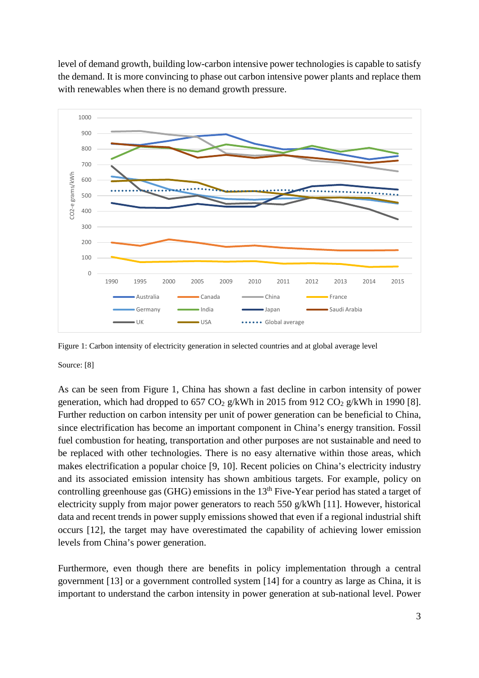level of demand growth, building low-carbon intensive power technologies is capable to satisfy the demand. It is more convincing to phase out carbon intensive power plants and replace them with renewables when there is no demand growth pressure.



Figure 1: Carbon intensity of electricity generation in selected countries and at global average level

Source: [8]

As can be seen from Figure 1, China has shown a fast decline in carbon intensity of power generation, which had dropped to  $657 \text{ CO}_2$  g/kWh in 2015 from 912 CO<sub>2</sub> g/kWh in 1990 [8]. Further reduction on carbon intensity per unit of power generation can be beneficial to China, since electrification has become an important component in China's energy transition. Fossil fuel combustion for heating, transportation and other purposes are not sustainable and need to be replaced with other technologies. There is no easy alternative within those areas, which makes electrification a popular choice [9, 10]. Recent policies on China's electricity industry and its associated emission intensity has shown ambitious targets. For example, policy on controlling greenhouse gas (GHG) emissions in the  $13<sup>th</sup>$  Five-Year period has stated a target of electricity supply from major power generators to reach 550 g/kWh [11]. However, historical data and recent trends in power supply emissions showed that even if a regional industrial shift occurs [12], the target may have overestimated the capability of achieving lower emission levels from China's power generation.

Furthermore, even though there are benefits in policy implementation through a central government [13] or a government controlled system [14] for a country as large as China, it is important to understand the carbon intensity in power generation at sub-national level. Power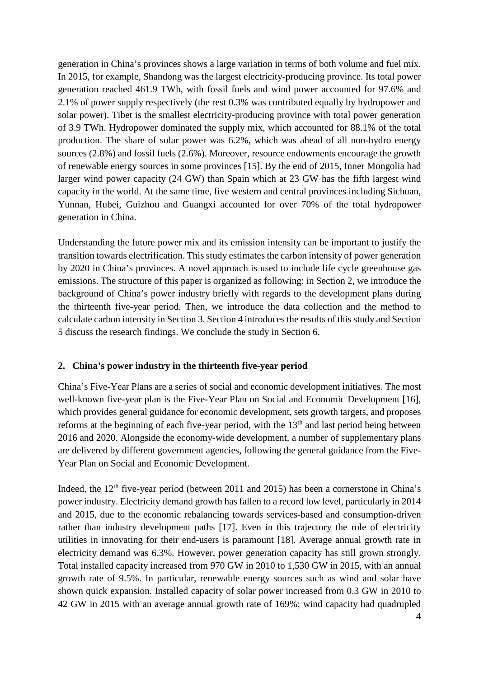generation in China's provinces shows a large variation in terms of both volume and fuel mix. In 2015, for example, Shandong was the largest electricity-producing province. Its total power generation reached 461.9 TWh, with fossil fuels and wind power accounted for 97.6% and 2.1% of power supply respectively (the rest 0.3% was contributed equally by hydropower and solar power). Tibet is the smallest electricity-producing province with total power generation of 3.9 TWh. Hydropower dominated the supply mix, which accounted for 88.1% of the total production. The share of solar power was 6.2%, which was ahead of all non-hydro energy sources (2.8%) and fossil fuels (2.6%). Moreover, resource endowments encourage the growth of renewable energy sources in some provinces [15]. By the end of 2015, Inner Mongolia had larger wind power capacity (24 GW) than Spain which at 23 GW has the fifth largest wind capacity in the world. At the same time, five western and central provinces including Sichuan, Yunnan, Hubei, Guizhou and Guangxi accounted for over 70% of the total hydropower generation in China.

Understanding the future power mix and its emission intensity can be important to justify the transition towards electrification. This study estimates the carbon intensity of power generation by 2020 in China's provinces. A novel approach is used to include life cycle greenhouse gas emissions. The structure of this paper is organized as following: in Section 2, we introduce the background of China's power industry briefly with regards to the development plans during the thirteenth five-year period. Then, we introduce the data collection and the method to calculate carbon intensity in Section 3. Section 4 introduces the results of this study and Section 5 discuss the research findings. We conclude the study in Section 6.

# **2. China's power industry in the thirteenth five-year period**

China's Five-Year Plans are a series of social and economic development initiatives. The most well-known five-year plan is the Five-Year Plan on Social and Economic Development [16], which provides general guidance for economic development, sets growth targets, and proposes reforms at the beginning of each five-year period, with the  $13<sup>th</sup>$  and last period being between 2016 and 2020. Alongside the economy-wide development, a number of supplementary plans are delivered by different government agencies, following the general guidance from the Five-Year Plan on Social and Economic Development.

Indeed, the  $12<sup>th</sup>$  five-year period (between 2011 and 2015) has been a cornerstone in China's power industry. Electricity demand growth has fallen to a record low level, particularly in 2014 and 2015, due to the economic rebalancing towards services-based and consumption-driven rather than industry development paths [17]. Even in this trajectory the role of electricity utilities in innovating for their end-users is paramount [18]. Average annual growth rate in electricity demand was 6.3%. However, power generation capacity has still grown strongly. Total installed capacity increased from 970 GW in 2010 to 1,530 GW in 2015, with an annual growth rate of 9.5%. In particular, renewable energy sources such as wind and solar have shown quick expansion. Installed capacity of solar power increased from 0.3 GW in 2010 to 42 GW in 2015 with an average annual growth rate of 169%; wind capacity had quadrupled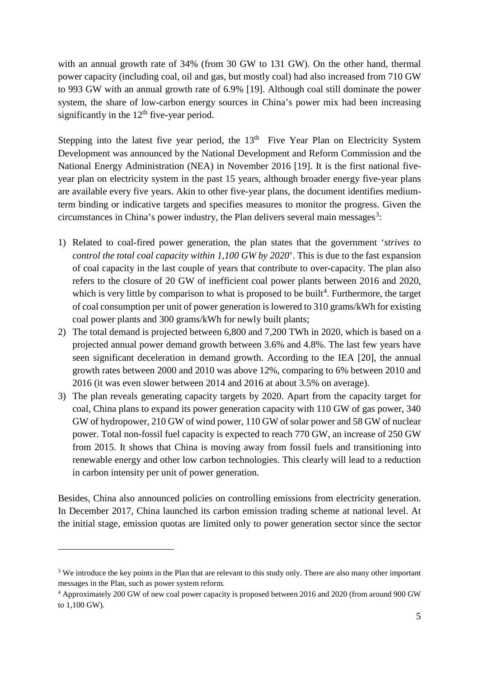with an annual growth rate of 34% (from 30 GW to 131 GW). On the other hand, thermal power capacity (including coal, oil and gas, but mostly coal) had also increased from 710 GW to 993 GW with an annual growth rate of 6.9% [19]. Although coal still dominate the power system, the share of low-carbon energy sources in China's power mix had been increasing significantly in the  $12<sup>th</sup>$  five-year period.

Stepping into the latest five year period, the  $13<sup>th</sup>$  Five Year Plan on Electricity System Development was announced by the National Development and Reform Commission and the National Energy Administration (NEA) in November 2016 [19]. It is the first national fiveyear plan on electricity system in the past 15 years, although broader energy five-year plans are available every five years. Akin to other five-year plans, the document identifies mediumterm binding or indicative targets and specifies measures to monitor the progress. Given the circumstances in China's power industry, the Plan delivers several main messages<sup>[3](#page-4-0)</sup>:

- 1) Related to coal-fired power generation, the plan states that the government '*strives to control the total coal capacity within 1,100 GW by 2020*'. This is due to the fast expansion of coal capacity in the last couple of years that contribute to over-capacity. The plan also refers to the closure of 20 GW of inefficient coal power plants between 2016 and 2020, which is very little by comparison to what is proposed to be built<sup>[4](#page-4-1)</sup>. Furthermore, the target of coal consumption per unit of power generation is lowered to 310 grams/kWh for existing coal power plants and 300 grams/kWh for newly built plants;
- 2) The total demand is projected between 6,800 and 7,200 TWh in 2020, which is based on a projected annual power demand growth between 3.6% and 4.8%. The last few years have seen significant deceleration in demand growth. According to the IEA [20], the annual growth rates between 2000 and 2010 was above 12%, comparing to 6% between 2010 and 2016 (it was even slower between 2014 and 2016 at about 3.5% on average).
- 3) The plan reveals generating capacity targets by 2020. Apart from the capacity target for coal, China plans to expand its power generation capacity with 110 GW of gas power, 340 GW of hydropower, 210 GW of wind power, 110 GW of solar power and 58 GW of nuclear power. Total non-fossil fuel capacity is expected to reach 770 GW, an increase of 250 GW from 2015. It shows that China is moving away from fossil fuels and transitioning into renewable energy and other low carbon technologies. This clearly will lead to a reduction in carbon intensity per unit of power generation.

Besides, China also announced policies on controlling emissions from electricity generation. In December 2017, China launched its carbon emission trading scheme at national level. At the initial stage, emission quotas are limited only to power generation sector since the sector

 $\overline{a}$ 

<span id="page-4-0"></span><sup>&</sup>lt;sup>3</sup> We introduce the key points in the Plan that are relevant to this study only. There are also many other important messages in the Plan, such as power system reform.

<span id="page-4-1"></span><sup>4</sup> Approximately 200 GW of new coal power capacity is proposed between 2016 and 2020 (from around 900 GW to 1,100 GW).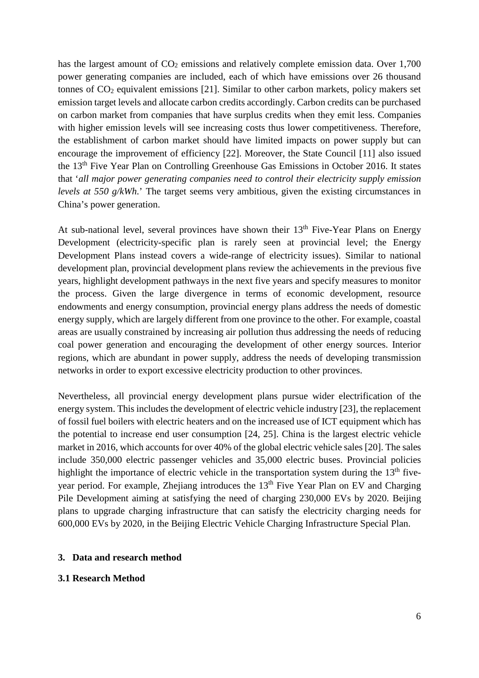has the largest amount of  $CO<sub>2</sub>$  emissions and relatively complete emission data. Over  $1,700$ power generating companies are included, each of which have emissions over 26 thousand tonnes of  $CO<sub>2</sub>$  equivalent emissions [21]. Similar to other carbon markets, policy makers set emission target levels and allocate carbon credits accordingly. Carbon credits can be purchased on carbon market from companies that have surplus credits when they emit less. Companies with higher emission levels will see increasing costs thus lower competitiveness. Therefore, the establishment of carbon market should have limited impacts on power supply but can encourage the improvement of efficiency [22]. Moreover, the State Council [11] also issued the 13th Five Year Plan on Controlling Greenhouse Gas Emissions in October 2016. It states that '*all major power generating companies need to control their electricity supply emission levels at 550 g/kWh*.' The target seems very ambitious, given the existing circumstances in China's power generation.

At sub-national level, several provinces have shown their  $13<sup>th</sup>$  Five-Year Plans on Energy Development (electricity-specific plan is rarely seen at provincial level; the Energy Development Plans instead covers a wide-range of electricity issues). Similar to national development plan, provincial development plans review the achievements in the previous five years, highlight development pathways in the next five years and specify measures to monitor the process. Given the large divergence in terms of economic development, resource endowments and energy consumption, provincial energy plans address the needs of domestic energy supply, which are largely different from one province to the other. For example, coastal areas are usually constrained by increasing air pollution thus addressing the needs of reducing coal power generation and encouraging the development of other energy sources. Interior regions, which are abundant in power supply, address the needs of developing transmission networks in order to export excessive electricity production to other provinces.

Nevertheless, all provincial energy development plans pursue wider electrification of the energy system. This includes the development of electric vehicle industry [23], the replacement of fossil fuel boilers with electric heaters and on the increased use of ICT equipment which has the potential to increase end user consumption [24, 25]. China is the largest electric vehicle market in 2016, which accounts for over 40% of the global electric vehicle sales [20]. The sales include 350,000 electric passenger vehicles and 35,000 electric buses. Provincial policies highlight the importance of electric vehicle in the transportation system during the  $13<sup>th</sup>$  fiveyear period. For example, Zhejiang introduces the 13<sup>th</sup> Five Year Plan on EV and Charging Pile Development aiming at satisfying the need of charging 230,000 EVs by 2020. Beijing plans to upgrade charging infrastructure that can satisfy the electricity charging needs for 600,000 EVs by 2020, in the Beijing Electric Vehicle Charging Infrastructure Special Plan.

#### **3. Data and research method**

#### **3.1 Research Method**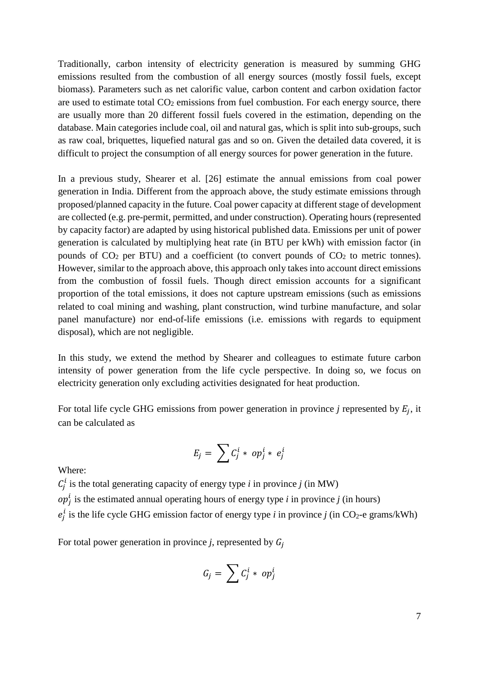Traditionally, carbon intensity of electricity generation is measured by summing GHG emissions resulted from the combustion of all energy sources (mostly fossil fuels, except biomass). Parameters such as net calorific value, carbon content and carbon oxidation factor are used to estimate total  $CO<sub>2</sub>$  emissions from fuel combustion. For each energy source, there are usually more than 20 different fossil fuels covered in the estimation, depending on the database. Main categories include coal, oil and natural gas, which is split into sub-groups, such as raw coal, briquettes, liquefied natural gas and so on. Given the detailed data covered, it is difficult to project the consumption of all energy sources for power generation in the future.

In a previous study, Shearer et al. [26] estimate the annual emissions from coal power generation in India. Different from the approach above, the study estimate emissions through proposed/planned capacity in the future. Coal power capacity at different stage of development are collected (e.g. pre-permit, permitted, and under construction). Operating hours (represented by capacity factor) are adapted by using historical published data. Emissions per unit of power generation is calculated by multiplying heat rate (in BTU per kWh) with emission factor (in pounds of  $CO<sub>2</sub>$  per BTU) and a coefficient (to convert pounds of  $CO<sub>2</sub>$  to metric tonnes). However, similar to the approach above, this approach only takes into account direct emissions from the combustion of fossil fuels. Though direct emission accounts for a significant proportion of the total emissions, it does not capture upstream emissions (such as emissions related to coal mining and washing, plant construction, wind turbine manufacture, and solar panel manufacture) nor end-of-life emissions (i.e. emissions with regards to equipment disposal), which are not negligible.

In this study, we extend the method by Shearer and colleagues to estimate future carbon intensity of power generation from the life cycle perspective. In doing so, we focus on electricity generation only excluding activities designated for heat production.

For total life cycle GHG emissions from power generation in province  $j$  represented by  $E_i$ , it can be calculated as

$$
E_j = \sum C_j^i * op_j^i * e_j^i
$$

Where:

 $C_j^l$  is the total generating capacity of energy type *i* in province *j* (in MW)

 $op<sub>j</sub><sup>t</sup>$  is the estimated annual operating hours of energy type *i* in province *j* (in hours)

 $e_j^l$  is the life cycle GHG emission factor of energy type *i* in province *j* (in CO<sub>2</sub>-e grams/kWh)

For total power generation in province *j*, represented by  $G_i$ 

$$
G_j = \sum C_j^i * op_j^i
$$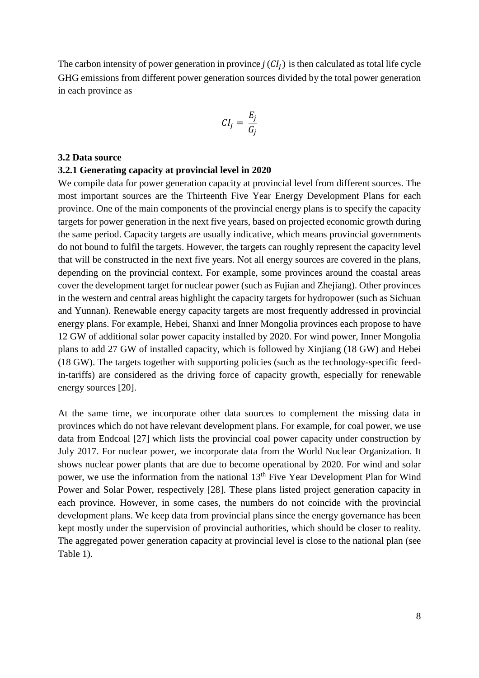The carbon intensity of power generation in province  $j(CI_i)$  is then calculated as total life cycle GHG emissions from different power generation sources divided by the total power generation in each province as

$$
CI_j = \frac{E_j}{G_j}
$$

#### **3.2 Data source**

#### **3.2.1 Generating capacity at provincial level in 2020**

We compile data for power generation capacity at provincial level from different sources. The most important sources are the Thirteenth Five Year Energy Development Plans for each province. One of the main components of the provincial energy plans is to specify the capacity targets for power generation in the next five years, based on projected economic growth during the same period. Capacity targets are usually indicative, which means provincial governments do not bound to fulfil the targets. However, the targets can roughly represent the capacity level that will be constructed in the next five years. Not all energy sources are covered in the plans, depending on the provincial context. For example, some provinces around the coastal areas cover the development target for nuclear power (such as Fujian and Zhejiang). Other provinces in the western and central areas highlight the capacity targets for hydropower (such as Sichuan and Yunnan). Renewable energy capacity targets are most frequently addressed in provincial energy plans. For example, Hebei, Shanxi and Inner Mongolia provinces each propose to have 12 GW of additional solar power capacity installed by 2020. For wind power, Inner Mongolia plans to add 27 GW of installed capacity, which is followed by Xinjiang (18 GW) and Hebei (18 GW). The targets together with supporting policies (such as the technology-specific feedin-tariffs) are considered as the driving force of capacity growth, especially for renewable energy sources [20].

At the same time, we incorporate other data sources to complement the missing data in provinces which do not have relevant development plans. For example, for coal power, we use data from Endcoal [27] which lists the provincial coal power capacity under construction by July 2017. For nuclear power, we incorporate data from the World Nuclear Organization. It shows nuclear power plants that are due to become operational by 2020. For wind and solar power, we use the information from the national 13th Five Year Development Plan for Wind Power and Solar Power, respectively [28]. These plans listed project generation capacity in each province. However, in some cases, the numbers do not coincide with the provincial development plans. We keep data from provincial plans since the energy governance has been kept mostly under the supervision of provincial authorities, which should be closer to reality. The aggregated power generation capacity at provincial level is close to the national plan (see Table 1).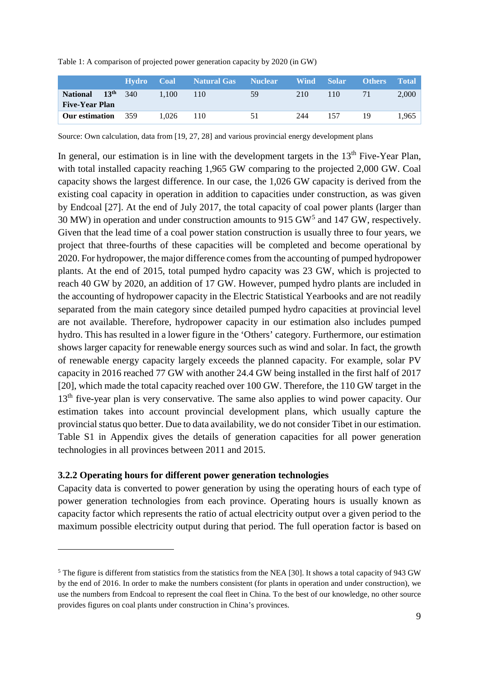|  |  | Table 1: A comparison of projected power generation capacity by 2020 (in GW) |
|--|--|------------------------------------------------------------------------------|
|--|--|------------------------------------------------------------------------------|

|                                          |                  | Hvdro | Coal  | Natural Gas | <b>Nuclear</b> | Wind Solar |     | <b>Others</b> | <b>Total</b> |
|------------------------------------------|------------------|-------|-------|-------------|----------------|------------|-----|---------------|--------------|
| <b>National</b><br><b>Five-Year Plan</b> | 13 <sup>th</sup> | 340   | 1.100 | 110         | 59             | 210        | 10  | 71            | 2,000        |
| <b>Our estimation</b>                    |                  | 359   | 1.026 | 110         | 51             | 244        | 157 | 19            | 1.965        |

Source: Own calculation, data from [19, 27, 28] and various provincial energy development plans

In general, our estimation is in line with the development targets in the  $13<sup>th</sup>$  Five-Year Plan, with total installed capacity reaching 1,965 GW comparing to the projected 2,000 GW. Coal capacity shows the largest difference. In our case, the 1,026 GW capacity is derived from the existing coal capacity in operation in addition to capacities under construction, as was given by Endcoal [27]. At the end of July 2017, the total capacity of coal power plants (larger than 30 MW) in operation and under construction amounts to 915 GW[5](#page-8-0) and 147 GW, respectively. Given that the lead time of a coal power station construction is usually three to four years, we project that three-fourths of these capacities will be completed and become operational by 2020. For hydropower, the major difference comes from the accounting of pumped hydropower plants. At the end of 2015, total pumped hydro capacity was 23 GW, which is projected to reach 40 GW by 2020, an addition of 17 GW. However, pumped hydro plants are included in the accounting of hydropower capacity in the Electric Statistical Yearbooks and are not readily separated from the main category since detailed pumped hydro capacities at provincial level are not available. Therefore, hydropower capacity in our estimation also includes pumped hydro. This has resulted in a lower figure in the 'Others' category. Furthermore, our estimation shows larger capacity for renewable energy sources such as wind and solar. In fact, the growth of renewable energy capacity largely exceeds the planned capacity. For example, solar PV capacity in 2016 reached 77 GW with another 24.4 GW being installed in the first half of 2017 [20], which made the total capacity reached over 100 GW. Therefore, the 110 GW target in the 13<sup>th</sup> five-year plan is very conservative. The same also applies to wind power capacity. Our estimation takes into account provincial development plans, which usually capture the provincial status quo better. Due to data availability, we do not consider Tibet in our estimation. Table S1 in Appendix gives the details of generation capacities for all power generation technologies in all provinces between 2011 and 2015.

# **3.2.2 Operating hours for different power generation technologies**

 $\overline{a}$ 

Capacity data is converted to power generation by using the operating hours of each type of power generation technologies from each province. Operating hours is usually known as capacity factor which represents the ratio of actual electricity output over a given period to the maximum possible electricity output during that period. The full operation factor is based on

<span id="page-8-0"></span><sup>&</sup>lt;sup>5</sup> The figure is different from statistics from the statistics from the NEA [30]. It shows a total capacity of 943 GW by the end of 2016. In order to make the numbers consistent (for plants in operation and under construction), we use the numbers from Endcoal to represent the coal fleet in China. To the best of our knowledge, no other source provides figures on coal plants under construction in China's provinces.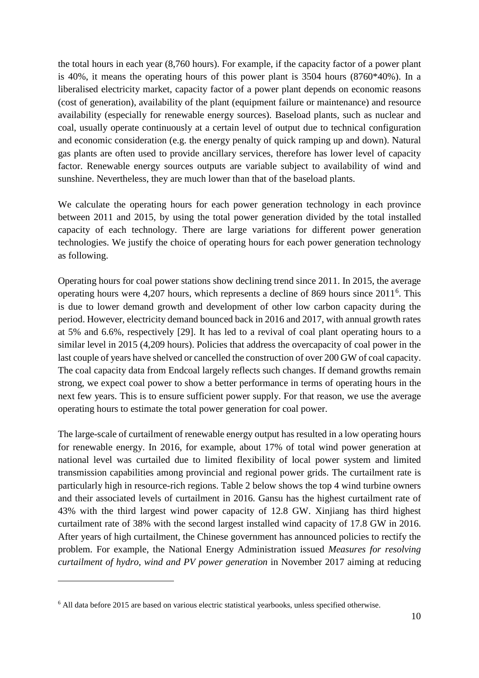the total hours in each year (8,760 hours). For example, if the capacity factor of a power plant is 40%, it means the operating hours of this power plant is 3504 hours (8760\*40%). In a liberalised electricity market, capacity factor of a power plant depends on economic reasons (cost of generation), availability of the plant (equipment failure or maintenance) and resource availability (especially for renewable energy sources). Baseload plants, such as nuclear and coal, usually operate continuously at a certain level of output due to technical configuration and economic consideration (e.g. the energy penalty of quick ramping up and down). Natural gas plants are often used to provide ancillary services, therefore has lower level of capacity factor. Renewable energy sources outputs are variable subject to availability of wind and sunshine. Nevertheless, they are much lower than that of the baseload plants.

We calculate the operating hours for each power generation technology in each province between 2011 and 2015, by using the total power generation divided by the total installed capacity of each technology. There are large variations for different power generation technologies. We justify the choice of operating hours for each power generation technology as following.

Operating hours for coal power stations show declining trend since 2011. In 2015, the average operating hours were  $4,207$  hours, which represents a decline of 8[6](#page-9-0)9 hours since  $2011<sup>6</sup>$ . This is due to lower demand growth and development of other low carbon capacity during the period. However, electricity demand bounced back in 2016 and 2017, with annual growth rates at 5% and 6.6%, respectively [29]. It has led to a revival of coal plant operating hours to a similar level in 2015 (4,209 hours). Policies that address the overcapacity of coal power in the last couple of years have shelved or cancelled the construction of over 200 GW of coal capacity. The coal capacity data from Endcoal largely reflects such changes. If demand growths remain strong, we expect coal power to show a better performance in terms of operating hours in the next few years. This is to ensure sufficient power supply. For that reason, we use the average operating hours to estimate the total power generation for coal power.

The large-scale of curtailment of renewable energy output has resulted in a low operating hours for renewable energy. In 2016, for example, about 17% of total wind power generation at national level was curtailed due to limited flexibility of local power system and limited transmission capabilities among provincial and regional power grids. The curtailment rate is particularly high in resource-rich regions. Table 2 below shows the top 4 wind turbine owners and their associated levels of curtailment in 2016. Gansu has the highest curtailment rate of 43% with the third largest wind power capacity of 12.8 GW. Xinjiang has third highest curtailment rate of 38% with the second largest installed wind capacity of 17.8 GW in 2016. After years of high curtailment, the Chinese government has announced policies to rectify the problem. For example, the National Energy Administration issued *Measures for resolving curtailment of hydro, wind and PV power generation* in November 2017 aiming at reducing

 $\overline{a}$ 

<span id="page-9-0"></span><sup>6</sup> All data before 2015 are based on various electric statistical yearbooks, unless specified otherwise.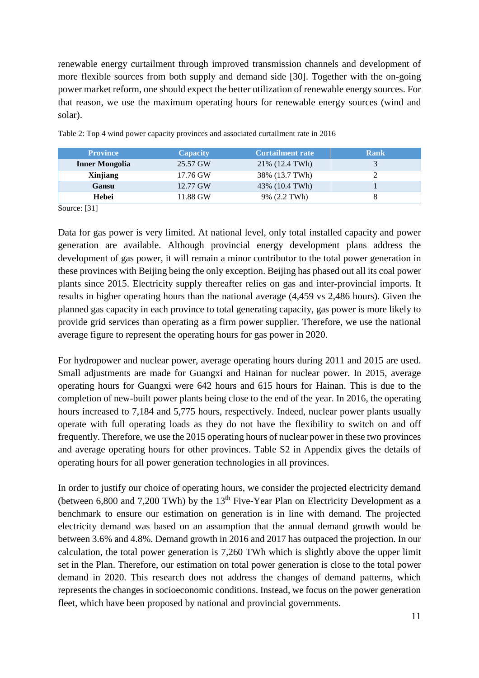renewable energy curtailment through improved transmission channels and development of more flexible sources from both supply and demand side [30]. Together with the on-going power market reform, one should expect the better utilization of renewable energy sources. For that reason, we use the maximum operating hours for renewable energy sources (wind and solar).

| <b>Province</b>       | <b>Capacity</b> | <b>Curtailment rate</b> | Rank |
|-----------------------|-----------------|-------------------------|------|
| <b>Inner Mongolia</b> | 25.57 GW        | 21\% (12.4 TWh)         |      |
| Xinjiang              | 17.76 GW        | 38% (13.7 TWh)          |      |
| Gansu                 | 12.77 GW        | 43% (10.4 TWh)          |      |
| Hebei                 | 11.88 GW        | 9% (2.2 TWh)            |      |

Table 2: Top 4 wind power capacity provinces and associated curtailment rate in 2016

Source: [31]

Data for gas power is very limited. At national level, only total installed capacity and power generation are available. Although provincial energy development plans address the development of gas power, it will remain a minor contributor to the total power generation in these provinces with Beijing being the only exception. Beijing has phased out all its coal power plants since 2015. Electricity supply thereafter relies on gas and inter-provincial imports. It results in higher operating hours than the national average (4,459 vs 2,486 hours). Given the planned gas capacity in each province to total generating capacity, gas power is more likely to provide grid services than operating as a firm power supplier. Therefore, we use the national average figure to represent the operating hours for gas power in 2020.

For hydropower and nuclear power, average operating hours during 2011 and 2015 are used. Small adjustments are made for Guangxi and Hainan for nuclear power. In 2015, average operating hours for Guangxi were 642 hours and 615 hours for Hainan. This is due to the completion of new-built power plants being close to the end of the year. In 2016, the operating hours increased to 7,184 and 5,775 hours, respectively. Indeed, nuclear power plants usually operate with full operating loads as they do not have the flexibility to switch on and off frequently. Therefore, we use the 2015 operating hours of nuclear power in these two provinces and average operating hours for other provinces. Table S2 in Appendix gives the details of operating hours for all power generation technologies in all provinces.

In order to justify our choice of operating hours, we consider the projected electricity demand (between 6,800 and 7,200 TWh) by the  $13<sup>th</sup>$  Five-Year Plan on Electricity Development as a benchmark to ensure our estimation on generation is in line with demand. The projected electricity demand was based on an assumption that the annual demand growth would be between 3.6% and 4.8%. Demand growth in 2016 and 2017 has outpaced the projection. In our calculation, the total power generation is 7,260 TWh which is slightly above the upper limit set in the Plan. Therefore, our estimation on total power generation is close to the total power demand in 2020. This research does not address the changes of demand patterns, which represents the changes in socioeconomic conditions. Instead, we focus on the power generation fleet, which have been proposed by national and provincial governments.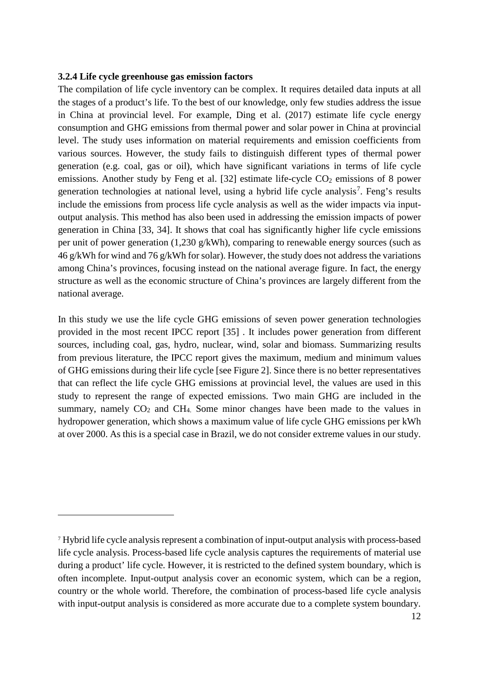#### **3.2.4 Life cycle greenhouse gas emission factors**

 $\overline{a}$ 

The compilation of life cycle inventory can be complex. It requires detailed data inputs at all the stages of a product's life. To the best of our knowledge, only few studies address the issue in China at provincial level. For example, Ding et al. (2017) estimate life cycle energy consumption and GHG emissions from thermal power and solar power in China at provincial level. The study uses information on material requirements and emission coefficients from various sources. However, the study fails to distinguish different types of thermal power generation (e.g. coal, gas or oil), which have significant variations in terms of life cycle emissions. Another study by Feng et al.  $[32]$  estimate life-cycle  $CO<sub>2</sub>$  emissions of 8 power generation technologies at national level, using a hybrid life cycle analysis<sup>[7](#page-11-0)</sup>. Feng's results include the emissions from process life cycle analysis as well as the wider impacts via inputoutput analysis. This method has also been used in addressing the emission impacts of power generation in China [33, 34]. It shows that coal has significantly higher life cycle emissions per unit of power generation (1,230 g/kWh), comparing to renewable energy sources (such as 46 g/kWh for wind and 76 g/kWh for solar). However, the study does not address the variations among China's provinces, focusing instead on the national average figure. In fact, the energy structure as well as the economic structure of China's provinces are largely different from the national average.

In this study we use the life cycle GHG emissions of seven power generation technologies provided in the most recent IPCC report [35] . It includes power generation from different sources, including coal, gas, hydro, nuclear, wind, solar and biomass. Summarizing results from previous literature, the IPCC report gives the maximum, medium and minimum values of GHG emissions during their life cycle [see Figure 2]. Since there is no better representatives that can reflect the life cycle GHG emissions at provincial level, the values are used in this study to represent the range of expected emissions. Two main GHG are included in the summary, namely CO<sub>2</sub> and CH<sub>4</sub>. Some minor changes have been made to the values in hydropower generation, which shows a maximum value of life cycle GHG emissions per kWh at over 2000. As this is a special case in Brazil, we do not consider extreme values in our study.

<span id="page-11-0"></span><sup>7</sup> Hybrid life cycle analysis represent a combination of input-output analysis with process-based life cycle analysis. Process-based life cycle analysis captures the requirements of material use during a product' life cycle. However, it is restricted to the defined system boundary, which is often incomplete. Input-output analysis cover an economic system, which can be a region, country or the whole world. Therefore, the combination of process-based life cycle analysis with input-output analysis is considered as more accurate due to a complete system boundary.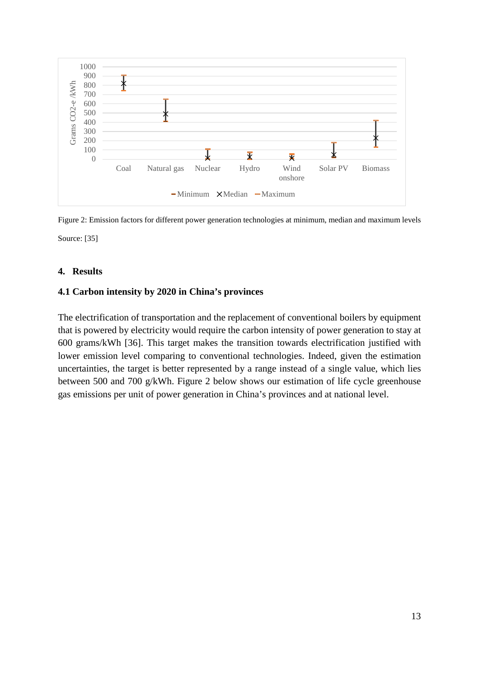

Figure 2: Emission factors for different power generation technologies at minimum, median and maximum levels Source: [35]

# **4. Results**

# **4.1 Carbon intensity by 2020 in China's provinces**

The electrification of transportation and the replacement of conventional boilers by equipment that is powered by electricity would require the carbon intensity of power generation to stay at 600 grams/kWh [36]. This target makes the transition towards electrification justified with lower emission level comparing to conventional technologies. Indeed, given the estimation uncertainties, the target is better represented by a range instead of a single value, which lies between 500 and 700 g/kWh. Figure 2 below shows our estimation of life cycle greenhouse gas emissions per unit of power generation in China's provinces and at national level.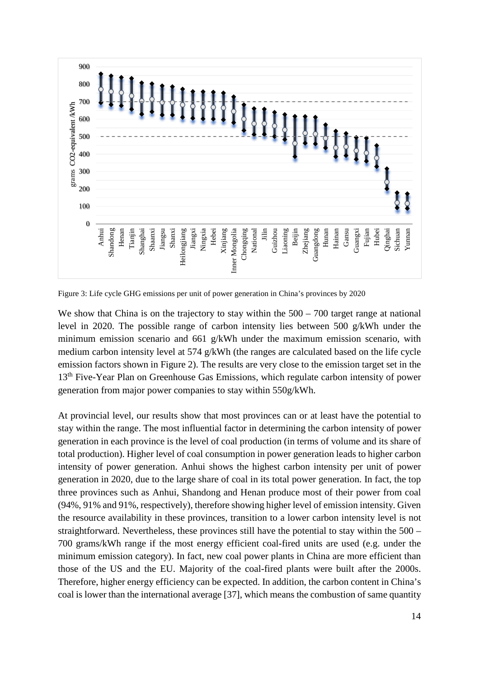

Figure 3: Life cycle GHG emissions per unit of power generation in China's provinces by 2020

We show that China is on the trajectory to stay within the  $500 - 700$  target range at national level in 2020. The possible range of carbon intensity lies between 500 g/kWh under the minimum emission scenario and 661 g/kWh under the maximum emission scenario, with medium carbon intensity level at 574 g/kWh (the ranges are calculated based on the life cycle emission factors shown in Figure 2). The results are very close to the emission target set in the 13<sup>th</sup> Five-Year Plan on Greenhouse Gas Emissions, which regulate carbon intensity of power generation from major power companies to stay within 550g/kWh.

At provincial level, our results show that most provinces can or at least have the potential to stay within the range. The most influential factor in determining the carbon intensity of power generation in each province is the level of coal production (in terms of volume and its share of total production). Higher level of coal consumption in power generation leads to higher carbon intensity of power generation. Anhui shows the highest carbon intensity per unit of power generation in 2020, due to the large share of coal in its total power generation. In fact, the top three provinces such as Anhui, Shandong and Henan produce most of their power from coal (94%, 91% and 91%, respectively), therefore showing higher level of emission intensity. Given the resource availability in these provinces, transition to a lower carbon intensity level is not straightforward. Nevertheless, these provinces still have the potential to stay within the 500 – 700 grams/kWh range if the most energy efficient coal-fired units are used (e.g. under the minimum emission category). In fact, new coal power plants in China are more efficient than those of the US and the EU. Majority of the coal-fired plants were built after the 2000s. Therefore, higher energy efficiency can be expected. In addition, the carbon content in China's coal is lower than the international average [37], which means the combustion of same quantity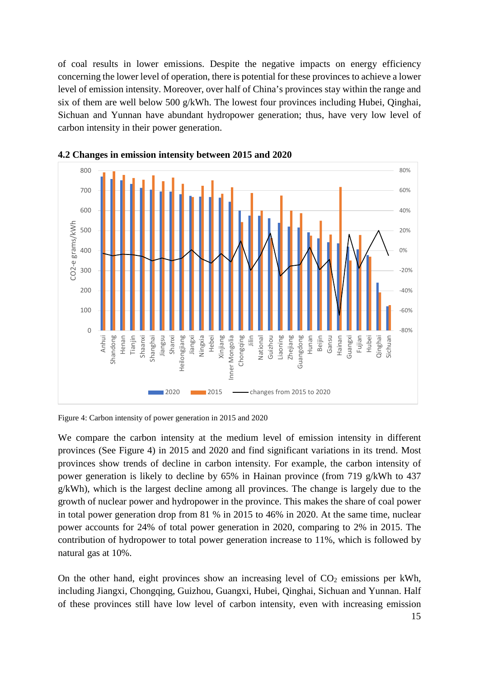of coal results in lower emissions. Despite the negative impacts on energy efficiency concerning the lower level of operation, there is potential for these provinces to achieve a lower level of emission intensity. Moreover, over half of China's provinces stay within the range and six of them are well below 500 g/kWh. The lowest four provinces including Hubei, Qinghai, Sichuan and Yunnan have abundant hydropower generation; thus, have very low level of carbon intensity in their power generation.



**4.2 Changes in emission intensity between 2015 and 2020**

Figure 4: Carbon intensity of power generation in 2015 and 2020

We compare the carbon intensity at the medium level of emission intensity in different provinces (See Figure 4) in 2015 and 2020 and find significant variations in its trend. Most provinces show trends of decline in carbon intensity. For example, the carbon intensity of power generation is likely to decline by 65% in Hainan province (from 719 g/kWh to 437 g/kWh), which is the largest decline among all provinces. The change is largely due to the growth of nuclear power and hydropower in the province. This makes the share of coal power in total power generation drop from 81 % in 2015 to 46% in 2020. At the same time, nuclear power accounts for 24% of total power generation in 2020, comparing to 2% in 2015. The contribution of hydropower to total power generation increase to 11%, which is followed by natural gas at 10%.

On the other hand, eight provinces show an increasing level of  $CO<sub>2</sub>$  emissions per kWh, including Jiangxi, Chongqing, Guizhou, Guangxi, Hubei, Qinghai, Sichuan and Yunnan. Half of these provinces still have low level of carbon intensity, even with increasing emission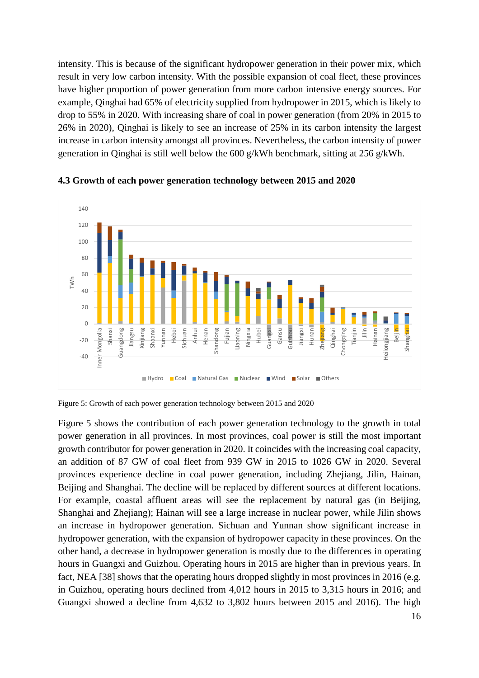intensity. This is because of the significant hydropower generation in their power mix, which result in very low carbon intensity. With the possible expansion of coal fleet, these provinces have higher proportion of power generation from more carbon intensive energy sources. For example, Qinghai had 65% of electricity supplied from hydropower in 2015, which is likely to drop to 55% in 2020. With increasing share of coal in power generation (from 20% in 2015 to 26% in 2020), Qinghai is likely to see an increase of 25% in its carbon intensity the largest increase in carbon intensity amongst all provinces. Nevertheless, the carbon intensity of power generation in Qinghai is still well below the 600 g/kWh benchmark, sitting at 256 g/kWh.



#### **4.3 Growth of each power generation technology between 2015 and 2020**

Figure 5: Growth of each power generation technology between 2015 and 2020

Figure 5 shows the contribution of each power generation technology to the growth in total power generation in all provinces. In most provinces, coal power is still the most important growth contributor for power generation in 2020. It coincides with the increasing coal capacity, an addition of 87 GW of coal fleet from 939 GW in 2015 to 1026 GW in 2020. Several provinces experience decline in coal power generation, including Zhejiang, Jilin, Hainan, Beijing and Shanghai. The decline will be replaced by different sources at different locations. For example, coastal affluent areas will see the replacement by natural gas (in Beijing, Shanghai and Zhejiang); Hainan will see a large increase in nuclear power, while Jilin shows an increase in hydropower generation. Sichuan and Yunnan show significant increase in hydropower generation, with the expansion of hydropower capacity in these provinces. On the other hand, a decrease in hydropower generation is mostly due to the differences in operating hours in Guangxi and Guizhou. Operating hours in 2015 are higher than in previous years. In fact, NEA [38] shows that the operating hours dropped slightly in most provinces in 2016 (e.g. in Guizhou, operating hours declined from 4,012 hours in 2015 to 3,315 hours in 2016; and Guangxi showed a decline from 4,632 to 3,802 hours between 2015 and 2016). The high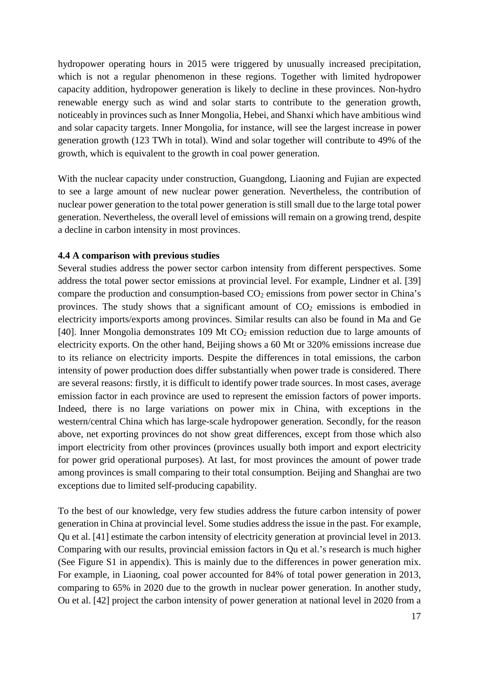hydropower operating hours in 2015 were triggered by unusually increased precipitation, which is not a regular phenomenon in these regions. Together with limited hydropower capacity addition, hydropower generation is likely to decline in these provinces. Non-hydro renewable energy such as wind and solar starts to contribute to the generation growth, noticeably in provinces such as Inner Mongolia, Hebei, and Shanxi which have ambitious wind and solar capacity targets. Inner Mongolia, for instance, will see the largest increase in power generation growth (123 TWh in total). Wind and solar together will contribute to 49% of the growth, which is equivalent to the growth in coal power generation.

With the nuclear capacity under construction, Guangdong, Liaoning and Fujian are expected to see a large amount of new nuclear power generation. Nevertheless, the contribution of nuclear power generation to the total power generation is still small due to the large total power generation. Nevertheless, the overall level of emissions will remain on a growing trend, despite a decline in carbon intensity in most provinces.

# **4.4 A comparison with previous studies**

Several studies address the power sector carbon intensity from different perspectives. Some address the total power sector emissions at provincial level. For example, Lindner et al. [39] compare the production and consumption-based  $CO<sub>2</sub>$  emissions from power sector in China's provinces. The study shows that a significant amount of  $CO<sub>2</sub>$  emissions is embodied in electricity imports/exports among provinces. Similar results can also be found in Ma and Ge [40]. Inner Mongolia demonstrates 109 Mt CO<sub>2</sub> emission reduction due to large amounts of electricity exports. On the other hand, Beijing shows a 60 Mt or 320% emissions increase due to its reliance on electricity imports. Despite the differences in total emissions, the carbon intensity of power production does differ substantially when power trade is considered. There are several reasons: firstly, it is difficult to identify power trade sources. In most cases, average emission factor in each province are used to represent the emission factors of power imports. Indeed, there is no large variations on power mix in China, with exceptions in the western/central China which has large-scale hydropower generation. Secondly, for the reason above, net exporting provinces do not show great differences, except from those which also import electricity from other provinces (provinces usually both import and export electricity for power grid operational purposes). At last, for most provinces the amount of power trade among provinces is small comparing to their total consumption. Beijing and Shanghai are two exceptions due to limited self-producing capability.

To the best of our knowledge, very few studies address the future carbon intensity of power generation in China at provincial level. Some studies address the issue in the past. For example, Qu et al. [41] estimate the carbon intensity of electricity generation at provincial level in 2013. Comparing with our results, provincial emission factors in Qu et al.'s research is much higher (See Figure S1 in appendix). This is mainly due to the differences in power generation mix. For example, in Liaoning, coal power accounted for 84% of total power generation in 2013, comparing to 65% in 2020 due to the growth in nuclear power generation. In another study, Ou et al. [42] project the carbon intensity of power generation at national level in 2020 from a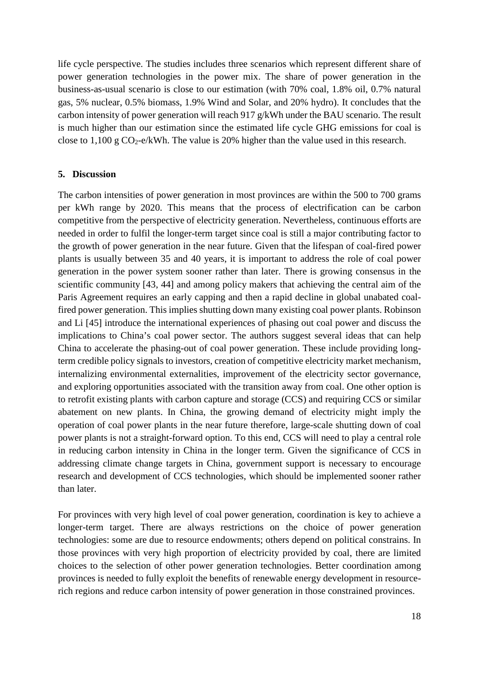life cycle perspective. The studies includes three scenarios which represent different share of power generation technologies in the power mix. The share of power generation in the business-as-usual scenario is close to our estimation (with 70% coal, 1.8% oil, 0.7% natural gas, 5% nuclear, 0.5% biomass, 1.9% Wind and Solar, and 20% hydro). It concludes that the carbon intensity of power generation will reach 917 g/kWh under the BAU scenario. The result is much higher than our estimation since the estimated life cycle GHG emissions for coal is close to  $1,100 \text{ g } CO_2$ -e/kWh. The value is 20% higher than the value used in this research.

#### **5. Discussion**

The carbon intensities of power generation in most provinces are within the 500 to 700 grams per kWh range by 2020. This means that the process of electrification can be carbon competitive from the perspective of electricity generation. Nevertheless, continuous efforts are needed in order to fulfil the longer-term target since coal is still a major contributing factor to the growth of power generation in the near future. Given that the lifespan of coal-fired power plants is usually between 35 and 40 years, it is important to address the role of coal power generation in the power system sooner rather than later. There is growing consensus in the scientific community [43, 44] and among policy makers that achieving the central aim of the Paris Agreement requires an early capping and then a rapid decline in global unabated coalfired power generation. This implies shutting down many existing coal power plants. Robinson and Li [45] introduce the international experiences of phasing out coal power and discuss the implications to China's coal power sector. The authors suggest several ideas that can help China to accelerate the phasing-out of coal power generation. These include providing longterm credible policy signals to investors, creation of competitive electricity market mechanism, internalizing environmental externalities, improvement of the electricity sector governance, and exploring opportunities associated with the transition away from coal. One other option is to retrofit existing plants with carbon capture and storage (CCS) and requiring CCS or similar abatement on new plants. In China, the growing demand of electricity might imply the operation of coal power plants in the near future therefore, large-scale shutting down of coal power plants is not a straight-forward option. To this end, CCS will need to play a central role in reducing carbon intensity in China in the longer term. Given the significance of CCS in addressing climate change targets in China, government support is necessary to encourage research and development of CCS technologies, which should be implemented sooner rather than later.

For provinces with very high level of coal power generation, coordination is key to achieve a longer-term target. There are always restrictions on the choice of power generation technologies: some are due to resource endowments; others depend on political constrains. In those provinces with very high proportion of electricity provided by coal, there are limited choices to the selection of other power generation technologies. Better coordination among provinces is needed to fully exploit the benefits of renewable energy development in resourcerich regions and reduce carbon intensity of power generation in those constrained provinces.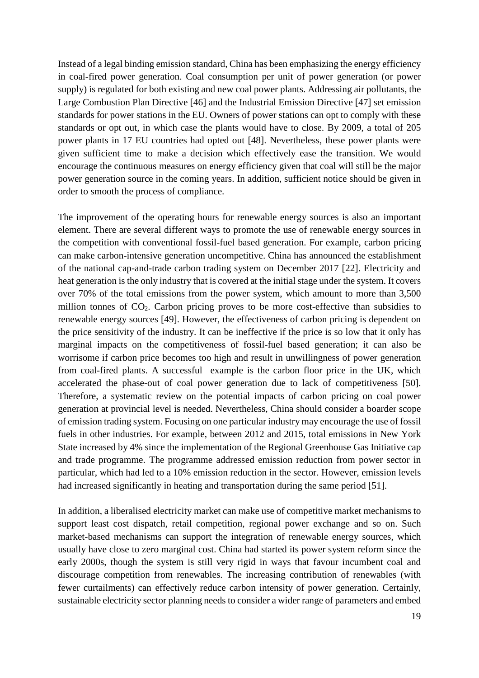Instead of a legal binding emission standard, China has been emphasizing the energy efficiency in coal-fired power generation. Coal consumption per unit of power generation (or power supply) is regulated for both existing and new coal power plants. Addressing air pollutants, the Large Combustion Plan Directive [46] and the Industrial Emission Directive [47] set emission standards for power stations in the EU. Owners of power stations can opt to comply with these standards or opt out, in which case the plants would have to close. By 2009, a total of 205 power plants in 17 EU countries had opted out [48]. Nevertheless, these power plants were given sufficient time to make a decision which effectively ease the transition. We would encourage the continuous measures on energy efficiency given that coal will still be the major power generation source in the coming years. In addition, sufficient notice should be given in order to smooth the process of compliance.

The improvement of the operating hours for renewable energy sources is also an important element. There are several different ways to promote the use of renewable energy sources in the competition with conventional fossil-fuel based generation. For example, carbon pricing can make carbon-intensive generation uncompetitive. China has announced the establishment of the national cap-and-trade carbon trading system on December 2017 [22]. Electricity and heat generation is the only industry that is covered at the initial stage under the system. It covers over 70% of the total emissions from the power system, which amount to more than 3,500 million tonnes of  $CO<sub>2</sub>$ . Carbon pricing proves to be more cost-effective than subsidies to renewable energy sources [49]. However, the effectiveness of carbon pricing is dependent on the price sensitivity of the industry. It can be ineffective if the price is so low that it only has marginal impacts on the competitiveness of fossil-fuel based generation; it can also be worrisome if carbon price becomes too high and result in unwillingness of power generation from coal-fired plants. A successful example is the carbon floor price in the UK, which accelerated the phase-out of coal power generation due to lack of competitiveness [50]. Therefore, a systematic review on the potential impacts of carbon pricing on coal power generation at provincial level is needed. Nevertheless, China should consider a boarder scope of emission trading system. Focusing on one particular industry may encourage the use of fossil fuels in other industries. For example, between 2012 and 2015, total emissions in New York State increased by 4% since the implementation of the Regional Greenhouse Gas Initiative cap and trade programme. The programme addressed emission reduction from power sector in particular, which had led to a 10% emission reduction in the sector. However, emission levels had increased significantly in heating and transportation during the same period [51].

In addition, a liberalised electricity market can make use of competitive market mechanisms to support least cost dispatch, retail competition, regional power exchange and so on. Such market-based mechanisms can support the integration of renewable energy sources, which usually have close to zero marginal cost. China had started its power system reform since the early 2000s, though the system is still very rigid in ways that favour incumbent coal and discourage competition from renewables. The increasing contribution of renewables (with fewer curtailments) can effectively reduce carbon intensity of power generation. Certainly, sustainable electricity sector planning needs to consider a wider range of parameters and embed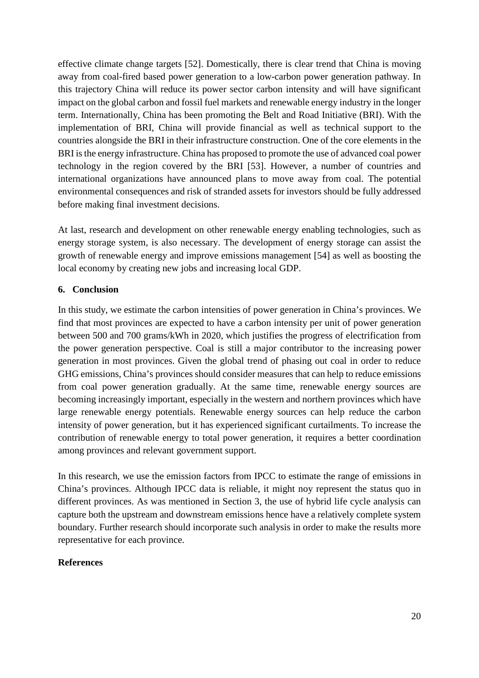effective climate change targets [52]. Domestically, there is clear trend that China is moving away from coal-fired based power generation to a low-carbon power generation pathway. In this trajectory China will reduce its power sector carbon intensity and will have significant impact on the global carbon and fossil fuel markets and renewable energy industry in the longer term. Internationally, China has been promoting the Belt and Road Initiative (BRI). With the implementation of BRI, China will provide financial as well as technical support to the countries alongside the BRI in their infrastructure construction. One of the core elements in the BRI is the energy infrastructure. China has proposed to promote the use of advanced coal power technology in the region covered by the BRI [53]. However, a number of countries and international organizations have announced plans to move away from coal. The potential environmental consequences and risk of stranded assets for investors should be fully addressed before making final investment decisions.

At last, research and development on other renewable energy enabling technologies, such as energy storage system, is also necessary. The development of energy storage can assist the growth of renewable energy and improve emissions management [54] as well as boosting the local economy by creating new jobs and increasing local GDP.

# **6. Conclusion**

In this study, we estimate the carbon intensities of power generation in China's provinces. We find that most provinces are expected to have a carbon intensity per unit of power generation between 500 and 700 grams/kWh in 2020, which justifies the progress of electrification from the power generation perspective. Coal is still a major contributor to the increasing power generation in most provinces. Given the global trend of phasing out coal in order to reduce GHG emissions, China's provinces should consider measures that can help to reduce emissions from coal power generation gradually. At the same time, renewable energy sources are becoming increasingly important, especially in the western and northern provinces which have large renewable energy potentials. Renewable energy sources can help reduce the carbon intensity of power generation, but it has experienced significant curtailments. To increase the contribution of renewable energy to total power generation, it requires a better coordination among provinces and relevant government support.

In this research, we use the emission factors from IPCC to estimate the range of emissions in China's provinces. Although IPCC data is reliable, it might noy represent the status quo in different provinces. As was mentioned in Section 3, the use of hybrid life cycle analysis can capture both the upstream and downstream emissions hence have a relatively complete system boundary. Further research should incorporate such analysis in order to make the results more representative for each province.

# **References**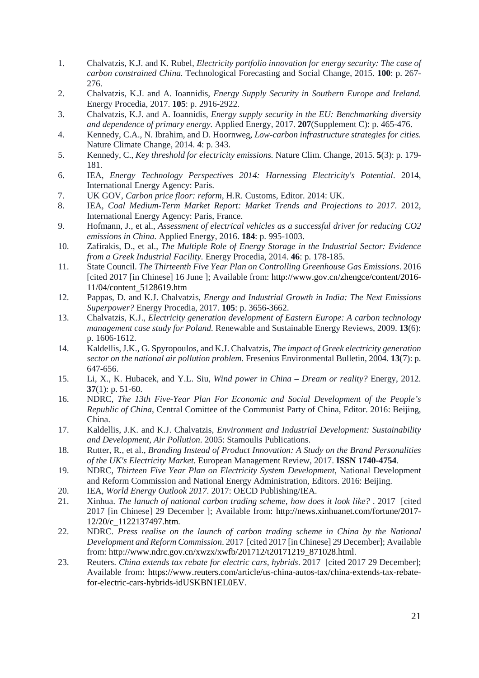- 1. Chalvatzis, K.J. and K. Rubel, *Electricity portfolio innovation for energy security: The case of carbon constrained China.* Technological Forecasting and Social Change, 2015. **100**: p. 267- 276.
- 2. Chalvatzis, K.J. and A. Ioannidis, *Energy Supply Security in Southern Europe and Ireland.* Energy Procedia, 2017. **105**: p. 2916-2922.
- 3. Chalvatzis, K.J. and A. Ioannidis, *Energy supply security in the EU: Benchmarking diversity and dependence of primary energy.* Applied Energy, 2017. **207**(Supplement C): p. 465-476.
- 4. Kennedy, C.A., N. Ibrahim, and D. Hoornweg, *Low-carbon infrastructure strategies for cities.* Nature Climate Change, 2014. **4**: p. 343.
- 5. Kennedy, C., *Key threshold for electricity emissions.* Nature Clim. Change, 2015. **5**(3): p. 179- 181.
- 6. IEA, *Energy Technology Perspectives 2014: Harnessing Electricity's Potential*. 2014, International Energy Agency: Paris.
- 7. UK GOV, *Carbon price floor: reform*, H.R. Customs, Editor. 2014: UK.
- 8. IEA, *Coal Medium-Term Market Report: Market Trends and Projections to 2017*. 2012, International Energy Agency: Paris, France.
- 9. Hofmann, J., et al., *Assessment of electrical vehicles as a successful driver for reducing CO2 emissions in China.* Applied Energy, 2016. **184**: p. 995-1003.
- 10. Zafirakis, D., et al., *The Multiple Role of Energy Storage in the Industrial Sector: Evidence from a Greek Industrial Facility.* Energy Procedia, 2014. **46**: p. 178-185.
- 11. State Council. *The Thirteenth Five Year Plan on Controlling Greenhouse Gas Emissions*. 2016 [cited 2017 [in Chinese] 16 June ]; Available from: [http://www.gov.cn/zhengce/content/2016-](http://www.gov.cn/zhengce/content/2016-11/04/content_5128619.htm) [11/04/content\\_5128619.htm](http://www.gov.cn/zhengce/content/2016-11/04/content_5128619.htm)
- 12. Pappas, D. and K.J. Chalvatzis, *Energy and Industrial Growth in India: The Next Emissions Superpower?* Energy Procedia, 2017. **105**: p. 3656-3662.
- 13. Chalvatzis, K.J., *Electricity generation development of Eastern Europe: A carbon technology management case study for Poland.* Renewable and Sustainable Energy Reviews, 2009. **13**(6): p. 1606-1612.
- 14. Kaldellis, J.K., G. Spyropoulos, and K.J. Chalvatzis, *The impact of Greek electricity generation sector on the national air pollution problem.* Fresenius Environmental Bulletin, 2004. **13**(7): p. 647-656.
- 15. Li, X., K. Hubacek, and Y.L. Siu, *Wind power in China – Dream or reality?* Energy, 2012. **37**(1): p. 51-60.
- 16. NDRC, *The 13th Five-Year Plan For Economic and Social Development of the People's Republic of China*, Central Comittee of the Communist Party of China, Editor. 2016: Beijing, China.
- 17. Kaldellis, J.K. and K.J. Chalvatzis, *Environment and Industrial Development: Sustainability and Development, Air Pollution*. 2005: Stamoulis Publications.
- 18. Rutter, R., et al., *Branding Instead of Product Innovation: A Study on the Brand Personalities of the UK's Electricity Market.* European Management Review, 2017. **ISSN 1740-4754**.
- 19. NDRC, *Thirteen Five Year Plan on Electricity System Development*, National Development and Reform Commission and National Energy Administration, Editors. 2016: Beijing.
- 20. IEA, *World Energy Outlook 2017*. 2017: OECD Publishing/IEA.
- 21. Xinhua. *The lanuch of national carbon trading scheme, how does it look like?* . 2017 [cited 2017 [in Chinese] 29 December ]; Available from: [http://news.xinhuanet.com/fortune/2017-](http://news.xinhuanet.com/fortune/2017-12/20/c_1122137497.htm) [12/20/c\\_1122137497.htm.](http://news.xinhuanet.com/fortune/2017-12/20/c_1122137497.htm)
- 22. NDRC. *Press realise on the launch of carbon trading scheme in China by the National Development and Reform Commission*. 2017 [cited 2017 [in Chinese] 29 December]; Available from: [http://www.ndrc.gov.cn/xwzx/xwfb/201712/t20171219\\_871028.html.](http://www.ndrc.gov.cn/xwzx/xwfb/201712/t20171219_871028.html)
- 23. Reuters. *China extends tax rebate for electric cars, hybrids*. 2017 [cited 2017 29 December]; Available from: [https://www.reuters.com/article/us-china-autos-tax/china-extends-tax-rebate](https://www.reuters.com/article/us-china-autos-tax/china-extends-tax-rebate-for-electric-cars-hybrids-idUSKBN1EL0EV)[for-electric-cars-hybrids-idUSKBN1EL0EV.](https://www.reuters.com/article/us-china-autos-tax/china-extends-tax-rebate-for-electric-cars-hybrids-idUSKBN1EL0EV)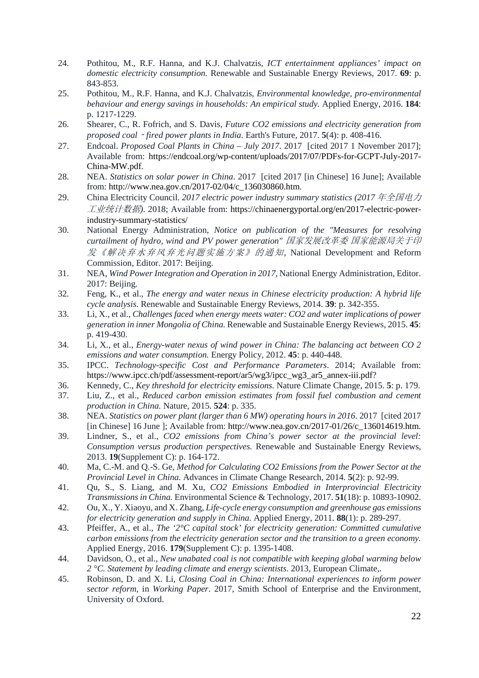- 24. Pothitou, M., R.F. Hanna, and K.J. Chalvatzis, *ICT entertainment appliances' impact on domestic electricity consumption.* Renewable and Sustainable Energy Reviews, 2017. **69**: p. 843-853.
- 25. Pothitou, M., R.F. Hanna, and K.J. Chalvatzis, *Environmental knowledge, pro-environmental behaviour and energy savings in households: An empirical study.* Applied Energy, 2016. **184**: p. 1217-1229.
- 26. Shearer, C., R. Fofrich, and S. Davis, *Future CO2 emissions and electricity generation from proposed coal*‐*fired power plants in India.* Earth's Future, 2017. **5**(4): p. 408-416.
- 27. Endcoal. *Proposed Coal Plants in China – July 2017*. 2017 [cited 2017 1 November 2017]; Available from: [https://endcoal.org/wp-content/uploads/2017/07/PDFs-for-GCPT-July-2017-](https://endcoal.org/wp-content/uploads/2017/07/PDFs-for-GCPT-July-2017-China-MW.pdf) [China-MW.pdf.](https://endcoal.org/wp-content/uploads/2017/07/PDFs-for-GCPT-July-2017-China-MW.pdf)
- 28. NEA. *Statistics on solar power in China*. 2017 [cited 2017 [in Chinese] 16 June]; Available from: [http://www.nea.gov.cn/2017-02/04/c\\_136030860.htm.](http://www.nea.gov.cn/2017-02/04/c_136030860.htm)
- 29. China Electricity Council. *2017 electric power industry summary statistics (2017* 年全国电力 工业统计数据*)*. 2018; Available from: [https://chinaenergyportal.org/en/2017-electric-power](https://chinaenergyportal.org/en/2017-electric-power-industry-summary-statistics/)[industry-summary-statistics/](https://chinaenergyportal.org/en/2017-electric-power-industry-summary-statistics/)
- 30. National Energy Administration, *Notice on publication of the "Measures for resolving curtailment of hydro, wind and PV power generation"* 国家发展改革委 国家能源局关于印 发《解决弃水弃风弃光问题实施方案》的通知, National Development and Reform Commission, Editor. 2017: Beijing.
- 31. NEA, *Wind Power Integration and Operation in 2017*, National Energy Administration, Editor. 2017: Beijing.
- 32. Feng, K., et al., *The energy and water nexus in Chinese electricity production: A hybrid life cycle analysis.* Renewable and Sustainable Energy Reviews, 2014. **39**: p. 342-355.
- 33. Li, X., et al., *Challenges faced when energy meets water: CO2 and water implications of power generation in inner Mongolia of China.* Renewable and Sustainable Energy Reviews, 2015. **45**: p. 419-430.
- 34. Li, X., et al., *Energy-water nexus of wind power in China: The balancing act between CO 2 emissions and water consumption.* Energy Policy, 2012. **45**: p. 440-448.
- 35. IPCC. *Technology-specific Cost and Performance Parameters*. 2014; Available from: [https://www.ipcc.ch/pdf/assessment-report/ar5/wg3/ipcc\\_wg3\\_ar5\\_annex-iii.pdf?](https://www.ipcc.ch/pdf/assessment-report/ar5/wg3/ipcc_wg3_ar5_annex-iii.pdf)
- 36. Kennedy, C., *Key threshold for electricity emissions.* Nature Climate Change, 2015. **5**: p. 179.
- 37. Liu, Z., et al., *Reduced carbon emission estimates from fossil fuel combustion and cement production in China.* Nature, 2015. **524**: p. 335.
- 38. NEA. *Statistics on power plant (larger than 6 MW) operating hours in 2016*. 2017 [cited 2017 [in Chinese] 16 June ]; Available from: [http://www.nea.gov.cn/2017-01/26/c\\_136014619.htm.](http://www.nea.gov.cn/2017-01/26/c_136014619.htm)
- 39. Lindner, S., et al., *CO2 emissions from China's power sector at the provincial level: Consumption versus production perspectives.* Renewable and Sustainable Energy Reviews, 2013. **19**(Supplement C): p. 164-172.
- 40. Ma, C.-M. and Q.-S. Ge, *Method for Calculating CO2 Emissions from the Power Sector at the Provincial Level in China.* Advances in Climate Change Research, 2014. **5**(2): p. 92-99.
- 41. Qu, S., S. Liang, and M. Xu, *CO2 Emissions Embodied in Interprovincial Electricity Transmissions in China.* Environmental Science & Technology, 2017. **51**(18): p. 10893-10902.
- 42. Ou, X., Y. Xiaoyu, and X. Zhang, *Life-cycle energy consumption and greenhouse gas emissions for electricity generation and supply in China.* Applied Energy, 2011. **88**(1): p. 289-297.
- 43. Pfeiffer, A., et al., *The '2°C capital stock' for electricity generation: Committed cumulative carbon emissions from the electricity generation sector and the transition to a green economy.* Applied Energy, 2016. **179**(Supplement C): p. 1395-1408.
- 44. Davidson, O., et al., *New unabated coal is not compatible with keeping global warming below 2 °C. Statement by leading climate and energy scientists*. 2013, European Climate,.
- 45. Robinson, D. and X. Li, *Closing Coal in China: International experiences to inform power sector reform*, in *Working Paper*. 2017, Smith School of Enterprise and the Environment, University of Oxford.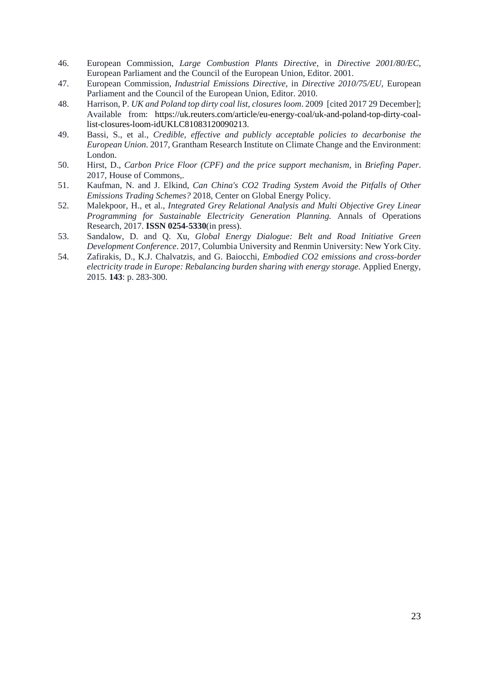- 46. European Commission, *Large Combustion Plants Directive*, in *Directive 2001/80/EC*, European Parliament and the Council of the European Union, Editor. 2001.
- 47. European Commission, *Industrial Emissions Directive*, in *Directive 2010/75/EU*, European Parliament and the Council of the European Union, Editor. 2010.
- 48. Harrison, P. *UK and Poland top dirty coal list, closures loom*. 2009 [cited 2017 29 December]; Available from: [https://uk.reuters.com/article/eu-energy-coal/uk-and-poland-top-dirty-coal](https://uk.reuters.com/article/eu-energy-coal/uk-and-poland-top-dirty-coal-list-closures-loom-idUKLC81083120090213)[list-closures-loom-idUKLC81083120090213.](https://uk.reuters.com/article/eu-energy-coal/uk-and-poland-top-dirty-coal-list-closures-loom-idUKLC81083120090213)
- 49. Bassi, S., et al., *Credible, effective and publicly acceptable policies to decarbonise the European Union*. 2017, Grantham Research Institute on Climate Change and the Environment: London.
- 50. Hirst, D., *Carbon Price Floor (CPF) and the price support mechanism*, in *Briefing Paper*. 2017, House of Commons,.
- 51. Kaufman, N. and J. Elkind, *Can China's CO2 Trading System Avoid the Pitfalls of Other Emissions Trading Schemes?* 2018, Center on Global Energy Policy.
- 52. Malekpoor, H., et al., *Integrated Grey Relational Analysis and Multi Objective Grey Linear Programming for Sustainable Electricity Generation Planning.* Annals of Operations Research, 2017. **ISSN 0254-5330**(in press).
- 53. Sandalow, D. and Q. Xu, *Global Energy Dialogue: Belt and Road Initiative Green Development Conference*. 2017, Columbia University and Renmin University: New York City.
- 54. Zafirakis, D., K.J. Chalvatzis, and G. Baiocchi, *Embodied CO2 emissions and cross-border electricity trade in Europe: Rebalancing burden sharing with energy storage.* Applied Energy, 2015. **143**: p. 283-300.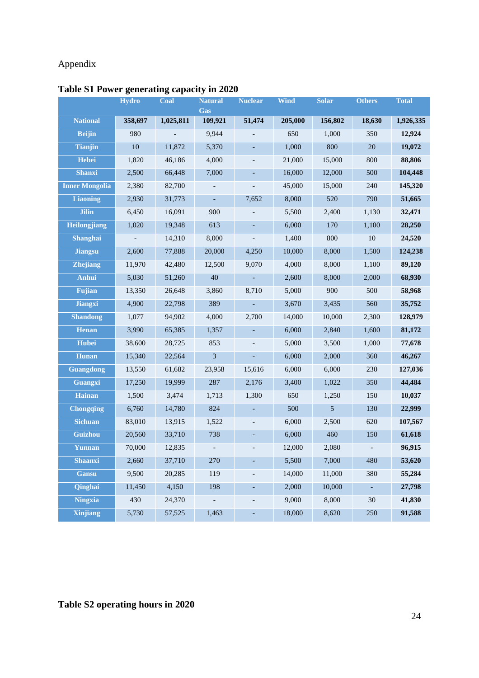# Appendix

|                       | <b>Hydro</b> | <b>Coal</b> | <b>Natural</b><br>Gas    | <b>Nuclear</b>           | <b>Wind</b> | <b>Solar</b>    | <b>Others</b>  | <b>Total</b> |
|-----------------------|--------------|-------------|--------------------------|--------------------------|-------------|-----------------|----------------|--------------|
| <b>National</b>       | 358,697      | 1,025,811   | 109,921                  | 51,474                   | 205,000     | 156,802         | 18,630         | 1,926,335    |
| <b>Beijin</b>         | 980          |             | 9,944                    |                          | 650         | 1,000           | 350            | 12,924       |
| <b>Tianjin</b>        | 10           | 11,872      | 5,370                    | ÷,                       | 1,000       | 800             | 20             | 19,072       |
| Hebei                 | 1,820        | 46,186      | 4,000                    |                          | 21,000      | 15,000          | 800            | 88,806       |
| <b>Shanxi</b>         | 2,500        | 66,448      | 7,000                    | ÷,                       | 16,000      | 12,000          | 500            | 104,448      |
| <b>Inner Mongolia</b> | 2,380        | 82,700      | $\overline{\phantom{a}}$ |                          | 45,000      | 15,000          | 240            | 145,320      |
| <b>Liaoning</b>       | 2,930        | 31,773      | $\overline{\phantom{a}}$ | 7,652                    | 8,000       | 520             | 790            | 51,665       |
| <b>Jilin</b>          | 6,450        | 16,091      | 900                      |                          | 5,500       | 2,400           | 1,130          | 32,471       |
| Heilongjiang          | 1,020        | 19,348      | 613                      | L,                       | 6,000       | 170             | 1,100          | 28,250       |
| Shanghai              |              | 14,310      | 8,000                    |                          | 1,400       | 800             | 10             | 24,520       |
| <b>Jiangsu</b>        | 2,600        | 77,888      | 20,000                   | 4,250                    | 10,000      | 8,000           | 1,500          | 124,238      |
| <b>Zhejiang</b>       | 11,970       | 42,480      | 12,500                   | 9.070                    | 4,000       | 8,000           | 1,100          | 89,120       |
| Anhui                 | 5,030        | 51,260      | 40                       | $\Box$                   | 2,600       | 8,000           | 2,000          | 68,930       |
| <b>Fujian</b>         | 13,350       | 26,648      | 3,860                    | 8,710                    | 5,000       | 900             | 500            | 58,968       |
| <b>Jiangxi</b>        | 4,900        | 22,798      | 389                      |                          | 3,670       | 3,435           | 560            | 35,752       |
| <b>Shandong</b>       | 1,077        | 94,902      | 4,000                    | 2,700                    | 14,000      | 10,000          | 2,300          | 128,979      |
| <b>Henan</b>          | 3,990        | 65,385      | 1,357                    | $\overline{\phantom{a}}$ | 6,000       | 2,840           | 1,600          | 81,172       |
| <b>Hubei</b>          | 38,600       | 28,725      | 853                      |                          | 5,000       | 3,500           | 1,000          | 77,678       |
| Hunan                 | 15,340       | 22,564      | $\overline{3}$           |                          | 6,000       | 2,000           | 360            | 46,267       |
| <b>Guangdong</b>      | 13,550       | 61,682      | 23,958                   | 15,616                   | 6,000       | 6,000           | 230            | 127,036      |
| <b>Guangxi</b>        | 17,250       | 19,999      | 287                      | 2,176                    | 3,400       | 1,022           | 350            | 44,484       |
| Hainan                | 1,500        | 3,474       | 1,713                    | 1,300                    | 650         | 1,250           | 150            | 10,037       |
| <b>Chongqing</b>      | 6,760        | 14,780      | 824                      | ÷,                       | 500         | $5\overline{)}$ | 130            | 22,999       |
| <b>Sichuan</b>        | 83,010       | 13,915      | 1,522                    | $\overline{\phantom{a}}$ | 6,000       | 2,500           | 620            | 107,567      |
| Guizhou               | 20,560       | 33,710      | 738                      | ÷,                       | 6,000       | 460             | 150            | 61,618       |
| Yunnan                | 70,000       | 12,835      | L,                       | $\blacksquare$           | 12,000      | 2,080           | $\blacksquare$ | 96,915       |
| <b>Shaanxi</b>        | 2,660        | 37,710      | 270                      |                          | 5,500       | 7,000           | 480            | 53,620       |
| <b>Gansu</b>          | 9,500        | 20,285      | 119                      |                          | 14,000      | 11,000          | 380            | 55,284       |
| Qinghai               | 11,450       | 4,150       | 198                      | $\overline{\phantom{a}}$ | 2,000       | 10,000          |                | 27,798       |
| <b>Ningxia</b>        | 430          | 24,370      | $\blacksquare$           | $\overline{\phantom{a}}$ | 9,000       | 8,000           | 30             | 41,830       |
| <b>Xinjiang</b>       | 5,730        | 57,525      | 1,463                    | ۰                        | 18,000      | 8,620           | 250            | 91,588       |

# **Table S1 Power generating capacity in 2020**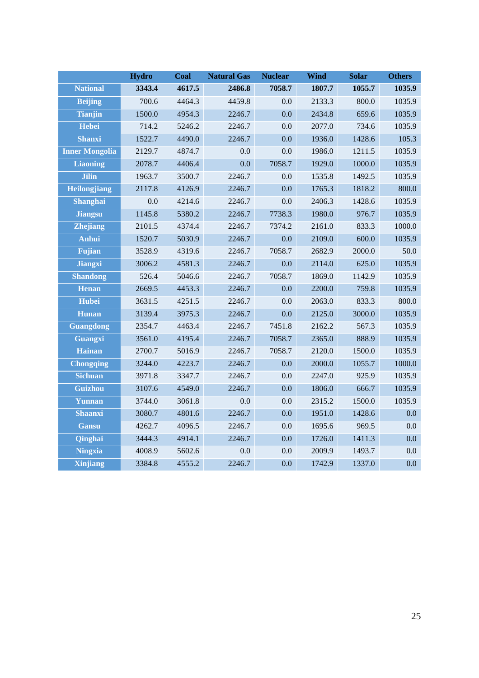|                       | <b>Hydro</b> | Coal   | <b>Natural Gas</b> | <b>Nuclear</b> | <b>Wind</b> | <b>Solar</b> | <b>Others</b> |
|-----------------------|--------------|--------|--------------------|----------------|-------------|--------------|---------------|
| <b>National</b>       | 3343.4       | 4617.5 | 2486.8             | 7058.7         | 1807.7      | 1055.7       | 1035.9        |
| <b>Beijing</b>        | 700.6        | 4464.3 | 4459.8             | 0.0            | 2133.3      | 800.0        | 1035.9        |
| <b>Tianjin</b>        | 1500.0       | 4954.3 | 2246.7             | 0.0            | 2434.8      | 659.6        | 1035.9        |
| <b>Hebei</b>          | 714.2        | 5246.2 | 2246.7             | 0.0            | 2077.0      | 734.6        | 1035.9        |
| <b>Shanxi</b>         | 1522.7       | 4490.0 | 2246.7             | 0.0            | 1936.0      | 1428.6       | 105.3         |
| <b>Inner Mongolia</b> | 2129.7       | 4874.7 | 0.0                | 0.0            | 1986.0      | 1211.5       | 1035.9        |
| <b>Liaoning</b>       | 2078.7       | 4406.4 | 0.0                | 7058.7         | 1929.0      | 1000.0       | 1035.9        |
| <b>Jilin</b>          | 1963.7       | 3500.7 | 2246.7             | 0.0            | 1535.8      | 1492.5       | 1035.9        |
| <b>Heilongjiang</b>   | 2117.8       | 4126.9 | 2246.7             | 0.0            | 1765.3      | 1818.2       | 800.0         |
| Shanghai              | 0.0          | 4214.6 | 2246.7             | 0.0            | 2406.3      | 1428.6       | 1035.9        |
| <b>Jiangsu</b>        | 1145.8       | 5380.2 | 2246.7             | 7738.3         | 1980.0      | 976.7        | 1035.9        |
| <b>Zhejiang</b>       | 2101.5       | 4374.4 | 2246.7             | 7374.2         | 2161.0      | 833.3        | 1000.0        |
| <b>Anhui</b>          | 1520.7       | 5030.9 | 2246.7             | 0.0            | 2109.0      | 600.0        | 1035.9        |
| <b>Fujian</b>         | 3528.9       | 4319.6 | 2246.7             | 7058.7         | 2682.9      | 2000.0       | 50.0          |
| <b>Jiangxi</b>        | 3006.2       | 4581.3 | 2246.7             | 0.0            | 2114.0      | 625.0        | 1035.9        |
| <b>Shandong</b>       | 526.4        | 5046.6 | 2246.7             | 7058.7         | 1869.0      | 1142.9       | 1035.9        |
| <b>Henan</b>          | 2669.5       | 4453.3 | 2246.7             | 0.0            | 2200.0      | 759.8        | 1035.9        |
| <b>Hubei</b>          | 3631.5       | 4251.5 | 2246.7             | 0.0            | 2063.0      | 833.3        | 800.0         |
| <b>Hunan</b>          | 3139.4       | 3975.3 | 2246.7             | 0.0            | 2125.0      | 3000.0       | 1035.9        |
| <b>Guangdong</b>      | 2354.7       | 4463.4 | 2246.7             | 7451.8         | 2162.2      | 567.3        | 1035.9        |
| <b>Guangxi</b>        | 3561.0       | 4195.4 | 2246.7             | 7058.7         | 2365.0      | 888.9        | 1035.9        |
| <b>Hainan</b>         | 2700.7       | 5016.9 | 2246.7             | 7058.7         | 2120.0      | 1500.0       | 1035.9        |
| <b>Chongqing</b>      | 3244.0       | 4223.7 | 2246.7             | 0.0            | 2000.0      | 1055.7       | 1000.0        |
| <b>Sichuan</b>        | 3971.8       | 3347.7 | 2246.7             | 0.0            | 2247.0      | 925.9        | 1035.9        |
| Guizhou               | 3107.6       | 4549.0 | 2246.7             | 0.0            | 1806.0      | 666.7        | 1035.9        |
| Yunnan                | 3744.0       | 3061.8 | 0.0                | 0.0            | 2315.2      | 1500.0       | 1035.9        |
| <b>Shaanxi</b>        | 3080.7       | 4801.6 | 2246.7             | 0.0            | 1951.0      | 1428.6       | 0.0           |
| <b>Gansu</b>          | 4262.7       | 4096.5 | 2246.7             | 0.0            | 1695.6      | 969.5        | 0.0           |
| Qinghai               | 3444.3       | 4914.1 | 2246.7             | 0.0            | 1726.0      | 1411.3       | 0.0           |
| <b>Ningxia</b>        | 4008.9       | 5602.6 | 0.0                | 0.0            | 2009.9      | 1493.7       | 0.0           |
| <b>Xinjiang</b>       | 3384.8       | 4555.2 | 2246.7             | 0.0            | 1742.9      | 1337.0       | 0.0           |